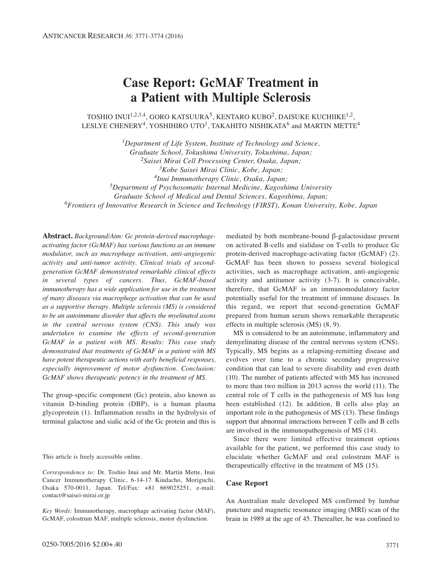# **Case Report: GcMAF Treatment in a Patient with Multiple Sclerosis**

## TOSHIO INUI<sup>1,2,3,4</sup>, GORO KATSUURA<sup>5</sup>, KENTARO KUBO<sup>2</sup>, DAISUKE KUCHIIKE<sup>1,2</sup>, LESLYE CHENERY<sup>4</sup>, YOSHIHIRO UTO<sup>1</sup>, TAKAHITO NISHIKATA<sup>6</sup> and MARTIN METTE<sup>4</sup>

*1Department of Life System, Institute of Technology and Science, Graduate School, Tokushima University, Tokushima, Japan; 2Saisei Mirai Cell Processing Center, Osaka, Japan; 3Kobe Saisei Mirai Clinic, Kobe, Japan; 4Inui Immunotherapy Clinic, Osaka, Japan; 5Department of Psychosomatic Internal Medicine, Kagoshima University Graduate School of Medical and Dental Sciences, Kagoshima, Japan;*

*6Frontiers of Innovative Research in Science and Technology (FIRST), Konan University, Kobe, Japan*

**Abstract.** *Background/Aim: Gc protein-derived macrophageactivating factor (GcMAF) has various functions as an immune modulator, such as macrophage activation, anti-angiogenic activity and anti-tumor activity. Clinical trials of secondgeneration GcMAF demonstrated remarkable clinical effects in several types of cancers. Thus, GcMAF-based immunotherapy has a wide application for use in the treatment of many diseases via macrophage activation that can be used as a supportive therapy. Multiple sclerosis (MS) is considered to be an autoimmune disorder that affects the myelinated axons in the central nervous system (CNS). This study was undertaken to examine the effects of second-generation GcMAF in a patient with MS. Results: This case study demonstrated that treatments of GcMAF in a patient with MS have potent therapeutic actions with early beneficial responses, especially improvement of motor dysfunction. Conclusion: GcMAF shows therapeutic potency in the treatment of MS.*

The group-specific component (Gc) protein, also known as vitamin D-binding protein (DBP), is a human plasma glycoprotein (1). Inflammation results in the hydrolysis of terminal galactose and sialic acid of the Gc protein and this is

This article is freely accessible online.

*Correspondence to:* Dr. Toshio Inui and Mr. Martin Mette, Inui Cancer Immunotherapy Clinic, 6-14-17 Kindacho, Moriguchi, Osaka 570-0011, Japan. Tel/Fax: +81 669025251, e-mail: contact@saisei-mirai.or.jp

*Key Words:* Immunotherapy, macrophage activating factor (MAF), GcMAF, colostrum MAF, multiple sclerosis, motor dysfunction.

mediated by both membrane-bound β-galactosidase present on activated B-cells and sialidase on T-cells to produce Gc protein-derived macrophage-activating factor (GcMAF) (2). GcMAF has been shown to possess several biological activities, such as macrophage activation, anti-angiogenic activity and antitumor activity (3-7). It is conceivable, therefore, that GcMAF is an immunomodulatory factor potentially useful for the treatment of immune diseases. In this regard, we report that second-generation GcMAF prepared from human serum shows remarkable therapeutic effects in multiple sclerosis (MS) (8, 9).

MS is considered to be an autoimmune, inflammatory and demyelinating disease of the central nervous system (CNS). Typically, MS begins as a relapsing-remitting disease and evolves over time to a chronic secondary progressive condition that can lead to severe disability and even death (10). The number of patients affected with MS has increased to more than two million in 2013 across the world (11). The central role of T cells in the pathogenesis of MS has long been established (12). In addition, B cells also play an important role in the pathogenesis of MS (13). These findings support that abnormal interactions between T cells and B cells are involved in the immunopathogenesis of MS (14).

Since there were limited effective treatment options available for the patient, we performed this case study to elucidate whether GcMAF and oral colostrum MAF is therapeutically effective in the treatment of MS (15).

#### **Case Report**

An Australian male developed MS confirmed by lumbar puncture and magnetic resonance imaging (MRI) scan of the brain in 1989 at the age of 45. Thereafter, he was confined to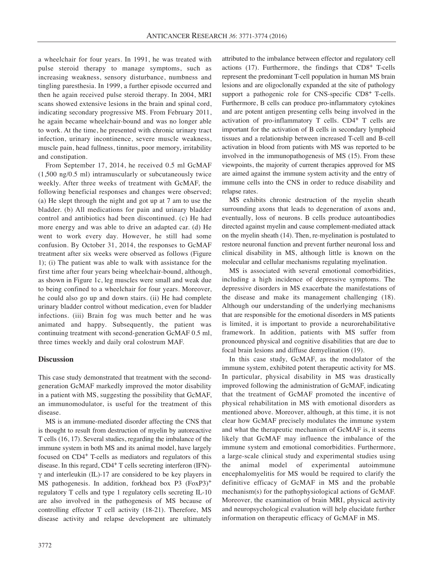a wheelchair for four years. In 1991, he was treated with pulse steroid therapy to manage symptoms, such as increasing weakness, sensory disturbance, numbness and tingling paresthesia. In 1999, a further episode occurred and then he again received pulse steroid therapy. In 2004, MRI scans showed extensive lesions in the brain and spinal cord, indicating secondary progressive MS. From February 2011, he again became wheelchair-bound and was no longer able to work. At the time, he presented with chronic urinary tract infection, urinary incontinence, severe muscle weakness, muscle pain, head fullness, tinnitus, poor memory, irritability and constipation.

From September 17, 2014, he received 0.5 ml GcMAF (1,500 ng/0.5 ml) intramuscularly or subcutaneously twice weekly. After three weeks of treatment with GcMAF, the following beneficial responses and changes were observed; (a) He slept through the night and got up at 7 am to use the bladder. (b) All medications for pain and urinary bladder control and antibiotics had been discontinued. (c) He had more energy and was able to drive an adapted car. (d) He went to work every day. However, he still had some confusion. By October 31, 2014, the responses to GcMAF treatment after six weeks were observed as follows (Figure 1); (i) The patient was able to walk with assistance for the first time after four years being wheelchair-bound, although, as shown in Figure 1c, leg muscles were small and weak due to being confined to a wheelchair for four years. Moreover, he could also go up and down stairs. (ii) He had complete urinary bladder control without medication, even for bladder infections. (iii) Brain fog was much better and he was animated and happy. Subsequently, the patient was continuing treatment with second-generation GcMAF 0.5 ml, three times weekly and daily oral colostrum MAF.

### **Discussion**

This case study demonstrated that treatment with the secondgeneration GcMAF markedly improved the motor disability in a patient with MS, suggesting the possibility that GcMAF, an immunomodulator, is useful for the treatment of this disease.

MS is an immune-mediated disorder affecting the CNS that is thought to result from destruction of myelin by autoreactive T cells (16, 17). Several studies, regarding the imbalance of the immune system in both MS and its animal model, have largely focused on CD4<sup>+</sup> T-cells as mediators and regulators of this disease. In this regard, CD4+ T cells secreting interferon (IFN) γ and interleukin (IL)-17 are considered to be key players in MS pathogenesis. In addition, forkhead box P3 (FoxP3)<sup>+</sup> regulatory T cells and type 1 regulatory cells secreting IL-10 are also involved in the pathogenesis of MS because of controlling effector T cell activity (18-21). Therefore, MS disease activity and relapse development are ultimately attributed to the imbalance between effector and regulatory cell actions  $(17)$ . Furthermore, the findings that  $CD8<sup>+</sup>$  T-cells represent the predominant T-cell population in human MS brain lesions and are oligoclonally expanded at the site of pathology support a pathogenic role for CNS-specific CD8<sup>+</sup> T-cells. Furthermore, B cells can produce pro-inflammatory cytokines and are potent antigen presenting cells being involved in the activation of pro-inflammatory  $T$  cells.  $CD4^+$   $T$  cells are important for the activation of B cells in secondary lymphoid tissues and a relationship between increased T-cell and B-cell activation in blood from patients with MS was reported to be involved in the immunopathogenesis of MS (15). From these viewpoints, the majority of current therapies approved for MS are aimed against the immune system activity and the entry of immune cells into the CNS in order to reduce disability and relapse rates.

MS exhibits chronic destruction of the myelin sheath surrounding axons that leads to degeneration of axons and, eventually, loss of neurons. B cells produce autoantibodies directed against myelin and cause complement-mediated attack on the myelin sheath (14). Then, re-myelination is postulated to restore neuronal function and prevent further neuronal loss and clinical disability in MS, although little is known on the molecular and cellular mechanisms regulating myelination.

MS is associated with several emotional comorbidities, including a high incidence of depressive symptoms. The depressive disorders in MS exacerbate the manifestations of the disease and make its management challenging (18). Although our understanding of the underlying mechanisms that are responsible for the emotional disorders in MS patients is limited, it is important to provide a neurorehabilitative framework. In addition, patients with MS suffer from pronounced physical and cognitive disabilities that are due to focal brain lesions and diffuse demyelination (19).

In this case study, GcMAF, as the modulator of the immune system, exhibited potent therapeutic activity for MS. In particular, physical disability in MS was drastically improved following the administration of GcMAF, indicating that the treatment of GcMAF promoted the incentive of physical rehabilitation in MS with emotional disorders as mentioned above. Moreover, although, at this time, it is not clear how GcMAF precisely modulates the immune system and what the therapeutic mechanism of GcMAF is, it seems likely that GcMAF may influence the imbalance of the immune system and emotional comorbidities. Furthermore, a large-scale clinical study and experimental studies using the animal model of experimental autoimmune encephalomyelitis for MS would be required to clarify the definitive efficacy of GcMAF in MS and the probable mechanism(s) for the pathophysiological actions of GcMAF. Moreover, the examination of brain MRI, physical activity and neuropsychological evaluation will help elucidate further information on therapeutic efficacy of GcMAF in MS.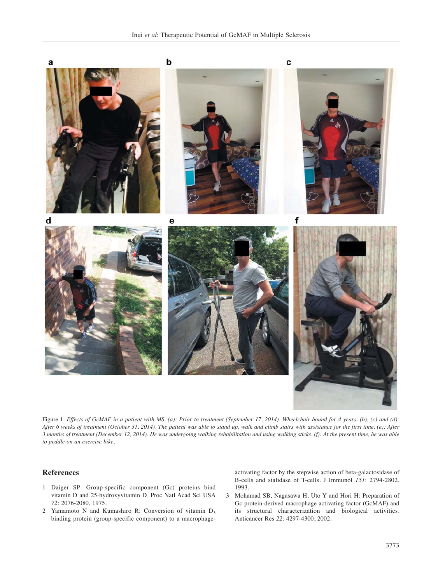

Figure 1. *Effects of GcMAF in a patient with MS. (a): Prior to treatment (September 17, 2014). Wheelchair-bound for 4 years. (b), (c) and (d): After 6 weeks of treatment (October 31, 2014). The patient was able to stand up, walk and climb stairs with assistance for the first time. (e): After 3 months of treatment (December 12, 2014). He was undergoing walking rehabilitation and using walking sticks. (f): At the present time, he was able to peddle on an exercise bike.*

#### **References**

- 1 Daiger SP: Group-specific component (Gc) proteins bind vitamin D and 25-hydroxyvitamin D. Proc Natl Acad Sci USA *72*: 2076-2080, 1975.
- 2 Yamamoto N and Kumashiro R: Conversion of vitamin  $D_3$ binding protein (group-specific component) to a macrophage-

activating factor by the stepwise action of beta-galactosidase of B-cells and sialidase of T-cells. J Immunol *151*: 2794-2802, 1993.

3 Mohamad SB, Nagasawa H, Uto Y and Hori H: Preparation of Gc protein-derived macrophage activating factor (GcMAF) and its structural characterization and biological activities. Anticancer Res *22*: 4297-4300, 2002.